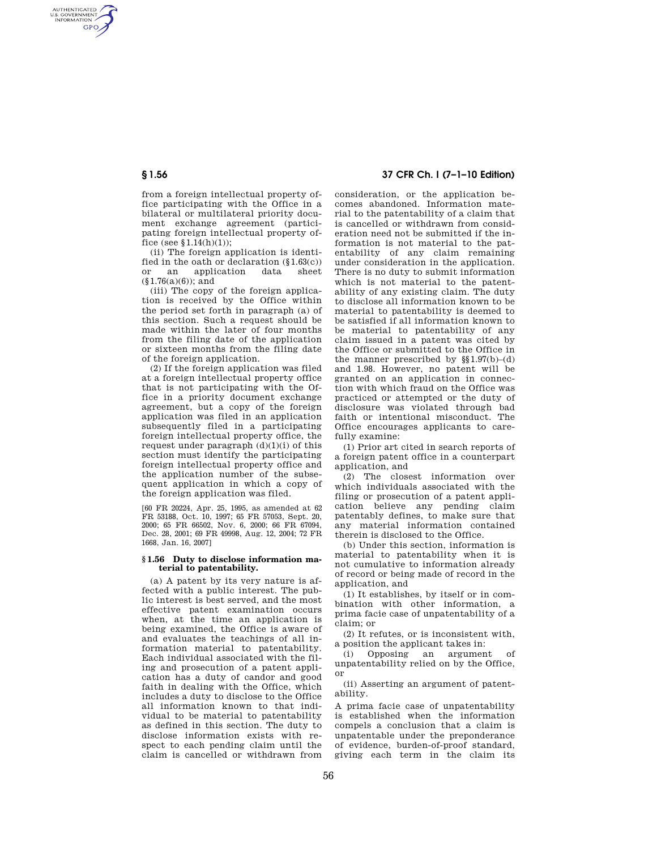AUTHENTICATED<br>U.S. GOVERNMENT<br>INFORMATION **GPO** 

> from a foreign intellectual property office participating with the Office in a bilateral or multilateral priority document exchange agreement (participating foreign intellectual property office (see  $$1.14(h)(1)$ );

> (ii) The foreign application is identified in the oath or declaration  $(\S1.63(c))$ or an application data sheet  $(\S1.76(a)(6))$ ; and

> (iii) The copy of the foreign application is received by the Office within the period set forth in paragraph (a) of this section. Such a request should be made within the later of four months from the filing date of the application or sixteen months from the filing date of the foreign application.

> (2) If the foreign application was filed at a foreign intellectual property office that is not participating with the Office in a priority document exchange agreement, but a copy of the foreign application was filed in an application subsequently filed in a participating foreign intellectual property office, the request under paragraph  $(d)(1)(i)$  of this section must identify the participating foreign intellectual property office and the application number of the subsequent application in which a copy of the foreign application was filed.

> [60 FR 20224, Apr. 25, 1995, as amended at 62 FR 53188, Oct. 10, 1997; 65 FR 57053, Sept. 20, 2000; 65 FR 66502, Nov. 6, 2000; 66 FR 67094, Dec. 28, 2001; 69 FR 49998, Aug. 12, 2004; 72 FR 1668, Jan. 16, 2007]

## **§ 1.56 Duty to disclose information material to patentability.**

(a) A patent by its very nature is affected with a public interest. The public interest is best served, and the most effective patent examination occurs when, at the time an application is being examined, the Office is aware of and evaluates the teachings of all information material to patentability. Each individual associated with the filing and prosecution of a patent application has a duty of candor and good faith in dealing with the Office, which includes a duty to disclose to the Office all information known to that individual to be material to patentability as defined in this section. The duty to disclose information exists with respect to each pending claim until the claim is cancelled or withdrawn from

# **§ 1.56 37 CFR Ch. I (7–1–10 Edition)**

consideration, or the application becomes abandoned. Information material to the patentability of a claim that is cancelled or withdrawn from consideration need not be submitted if the information is not material to the patentability of any claim remaining under consideration in the application. There is no duty to submit information which is not material to the patentability of any existing claim. The duty to disclose all information known to be material to patentability is deemed to be satisfied if all information known to be material to patentability of any claim issued in a patent was cited by the Office or submitted to the Office in the manner prescribed by  $\S(1.97(b)-(d))$ and 1.98. However, no patent will be granted on an application in connection with which fraud on the Office was practiced or attempted or the duty of disclosure was violated through bad faith or intentional misconduct. The Office encourages applicants to carefully examine:

(1) Prior art cited in search reports of a foreign patent office in a counterpart application, and

(2) The closest information over which individuals associated with the filing or prosecution of a patent application believe any pending claim patentably defines, to make sure that any material information contained therein is disclosed to the Office.

(b) Under this section, information is material to patentability when it is not cumulative to information already of record or being made of record in the application, and

(1) It establishes, by itself or in combination with other information, a prima facie case of unpatentability of a claim; or

(2) It refutes, or is inconsistent with, a position the applicant takes in:

(i) Opposing an argument of unpatentability relied on by the Office, or

(ii) Asserting an argument of patentability.

A prima facie case of unpatentability is established when the information compels a conclusion that a claim is unpatentable under the preponderance of evidence, burden-of-proof standard, giving each term in the claim its